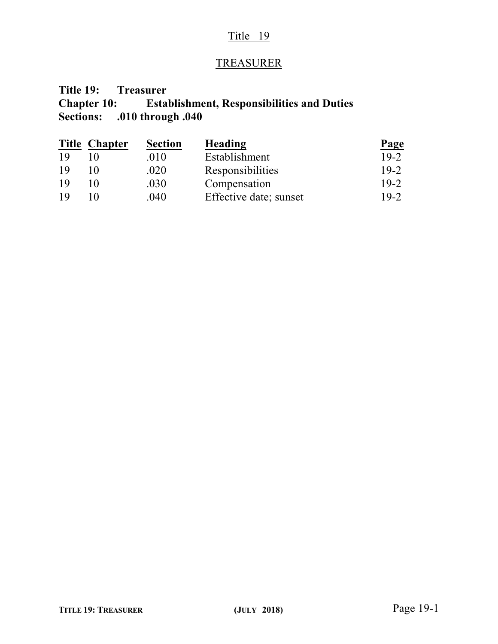#### Title 19

# TREASURER

# **Title 19: Treasurer Chapter 10: Establishment, Responsibilities and Duties Sections: .010 through .040**

|    | <b>Title Chapter</b> | <b>Section</b> | Heading                | Page   |
|----|----------------------|----------------|------------------------|--------|
| 19 |                      | .010           | Establishment          | $19-2$ |
| 19 |                      | .020           | Responsibilities       | $19-2$ |
| 19 |                      | .030           | Compensation           | $19-2$ |
| 19 |                      | .040           | Effective date; sunset | $19-2$ |